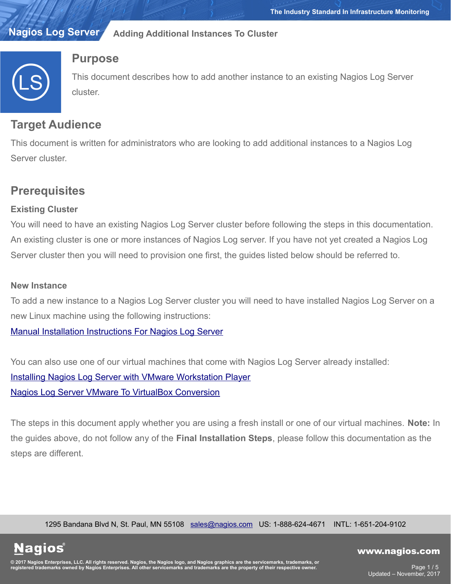#### **Nagios Log Server Adding Additional Instances To Cluster**



## **Purpose**

This document describes how to add another instance to an existing Nagios Log Server cluster.

## **Target Audience**

This document is written for administrators who are looking to add additional instances to a Nagios Log Server cluster.

# **Prerequisites**

## **Existing Cluster**

You will need to have an existing Nagios Log Server cluster before following the steps in this documentation. An existing cluster is one or more instances of Nagios Log server. If you have not yet created a Nagios Log Server cluster then you will need to provision one first, the guides listed below should be referred to.

#### **New Instance**

**Nagios**®

To add a new instance to a Nagios Log Server cluster you will need to have installed Nagios Log Server on a new Linux machine using the following instructions:

[Manual Installation Instructions For Nagios Log Server](https://assets.nagios.com/downloads/nagios-log-server/docs/Manual-Installation-Instructions-For-Nagios-Log-Server.pdf)

You can also use one of our virtual machines that come with Nagios Log Server already installed: [Installing Nagios Log Server with VMware Workstation Player](https://assets.nagios.com/downloads/nagios-log-server/docs/Installing-Nagios-Log-Server-with-VMware-Workstation-Player.pdf) [Nagios Log Server VMware To VirtualBox Conversion](https://assets.nagios.com/downloads/nagios-log-server/docs/Log-Server-VMware-To-VirtualBox-Conversion.pdf)

The steps in this document apply whether you are using a fresh install or one of our virtual machines. **Note:** In the guides above, do not follow any of the **Final Installation Steps**, please follow this documentation as the steps are different.

1295 Bandana Blvd N, St. Paul, MN 55108 [sales@nagios.com](mailto:sales@nagios.com) US: 1-888-624-4671 INTL: 1-651-204-9102

© 2017 Nagios Enterprises, LLC. All rights reserved. Nagios, the Nagios logo, and Nagios graphics are the servicemarks, trademarks, or<br>registered trademarks owned by Nagios Enterprises. All other servicemarks and trademark

#### [www.nagios.com](https://www.nagios.com/)

Page 1 / 5 Updated – November, 2017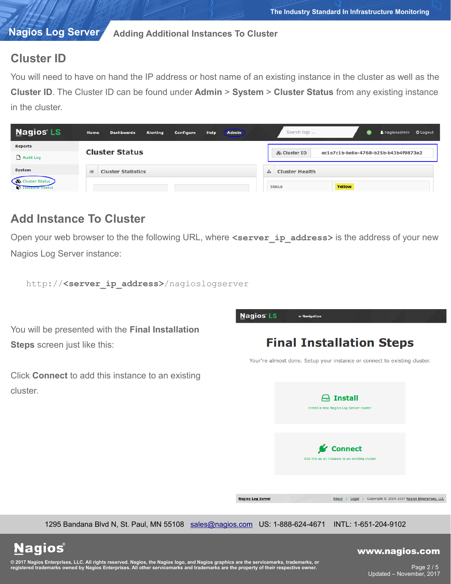#### **Nagios Log Server Adding Additional Instances To Cluster**

## **Cluster ID**

You will need to have on hand the IP address or host name of an existing instance in the cluster as well as the **Cluster ID**. The Cluster ID can be found under **Admin** > **System** > **Cluster Status** from any existing instance in the cluster.

| <b>Nagios LS</b>                                        | <b>Admin</b><br>Home<br><b>Alerting</b><br><b>Help</b><br><b>Dashboards</b><br><b>Configure</b> | Search logs                                          |
|---------------------------------------------------------|-------------------------------------------------------------------------------------------------|------------------------------------------------------|
| <b>Reports</b>                                          |                                                                                                 |                                                      |
| Audit Log                                               | <b>Cluster Status</b>                                                                           | ec1e7c1b-be6e-4768-b25b-b43b4f9873e2<br>& Cluster ID |
| <b>System</b>                                           | <b>Cluster Statistics</b><br>$ $ <sub>dli</sub>                                                 | <b>Cluster Health</b><br>$\Delta$                    |
| <b>&amp;</b> Cluster Status<br><b>This tance Status</b> |                                                                                                 | Yellow<br><b>Status</b>                              |

## **Add Instance To Cluster**

Open your web browser to the the following URL, where <server ip address> is the address of your new Nagios Log Server instance:

http://**<server\_ip\_address>**/nagioslogserver

You will be presented with the **Final Installation Steps** screen just like this:

Click **Connect** to add this instance to an existing cluster.



1295 Bandana Blvd N, St. Paul, MN 55108 [sales@nagios.com](mailto:sales@nagios.com) US: 1-888-624-4671 INTL: 1-651-204-9102

**Nagios®** 

#### [www.nagios.com](https://www.nagios.com/)

© 2017 Nagios Enterprises, LLC. All rights reserved. Nagios, the Nagios logo, and Nagios graphics are the servicemarks, trademarks, or<br>registered trademarks owned by Nagios Enterprises. All other servicemarks and trademark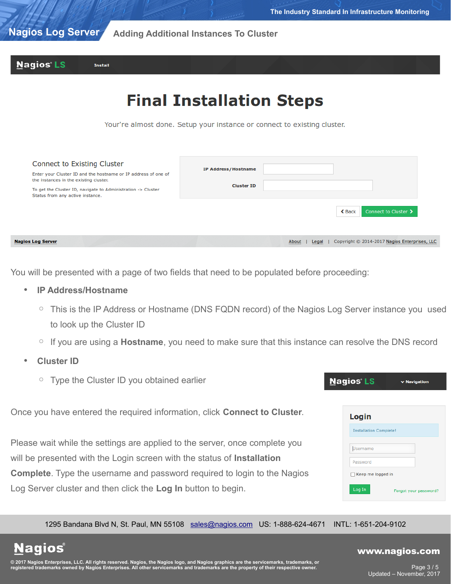#### **Nagios Log Server Adding Additional Instances To Cluster**



# **Final Installation Steps**

Your're almost done. Setup your instance or connect to existing cluster.

| <b>Connect to Existing Cluster</b>                                                                       | <b>IP Address/Hostname</b> |                                                                 |
|----------------------------------------------------------------------------------------------------------|----------------------------|-----------------------------------------------------------------|
| Enter your Cluster ID and the hostname or IP address of one of<br>the instances in the existing cluster. |                            |                                                                 |
| To get the Cluster ID, navigate to Administration -> Cluster<br>Status from any active instance.         | <b>Cluster ID</b>          |                                                                 |
|                                                                                                          |                            | Connect to Cluster ><br><b>く</b> Back                           |
| jios Log Server                                                                                          |                            | Copyright © 2014-2017 Nagios Enterprises, LLC<br>About<br>Legal |

You will be presented with a page of two fields that need to be populated before proceeding:

- **IP Address/Hostname**
	- This is the IP Address or Hostname (DNS FQDN record) of the Nagios Log Server instance you used to look up the Cluster ID
	- If you are using a **Hostname**, you need to make sure that this instance can resolve the DNS record
- **Cluster ID**

**Nagios®** 

Na

◦ Type the Cluster ID you obtained earlier

Once you have entered the required information, click **Connect to Cluster**.

Please wait while the settings are applied to the server, once complete you will be presented with the Login screen with the status of **Installation Complete**. Type the username and password required to login to the Nagios Log Server cluster and then click the **Log In** button to begin.

| agios LS                      | $\vee$ Navigation     |
|-------------------------------|-----------------------|
|                               |                       |
| Login                         |                       |
| <b>Installation Complete!</b> |                       |
| Username                      |                       |
| Password                      |                       |
| Keep me logged in             |                       |
| Log In                        | Forgot your password? |

1295 Bandana Blvd N, St. Paul, MN 55108 [sales@nagios.com](mailto:sales@nagios.com) US: 1-888-624-4671 INTL: 1-651-204-9102

© 2017 Nagios Enterprises, LLC. All rights reserved. Nagios, the Nagios logo, and Nagios graphics are the servicemarks, trademarks, or<br>registered trademarks owned by Nagios Enterprises. All other servicemarks and trademark

#### [www.nagios.com](https://www.nagios.com/)

Page 3 / 5 Updated – November, 2017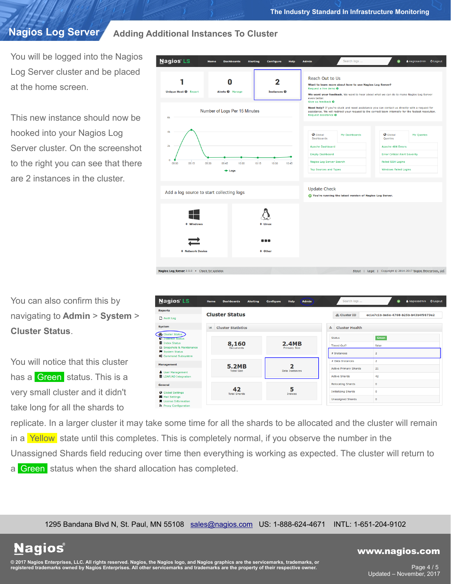### **Nagios Log Server**

**Adding Additional Instances To Cluster**

You will be logged into the Nagios Log Server cluster and be placed at the home screen.

This new instance should now be hooked into your Nagios Log Server cluster. On the screenshot to the right you can see that there are 2 instances in the cluster.

**Nagios LS** Configure Help **Dashboards** Alerting Admin Reach Out to Us 1  $\bf{0}$  $\overline{2}$ Want to learn more about how to use Nagios Log Server? equest a live demo  $\boldsymbol{\Omega}$ Request a live demo 0<br>We want your feedback. We want to hear about what we can do to make Nagios Log Server<br>even better. Unique Host <sup>O</sup> Repor Alerts <sup>O</sup> Instances **O** ack O Need help? If you're stuck and need assistance you can contact us directly with a request for<br>assistance. We will redirect your request to the correct team internally for the fastest resolution<br>Request assistance O Number of Logs Per 15 Minutes **O** Global<br>Dashboards **O** Global My Queries **Apache Dashboard** Apache 404 Errors **Error Critical Alert Severity Empty Dashboard** Failed SSH Logins agios Log Server Searc  $09:30$  $10:15$  $10-30$  $10.45$ op Sources and Types ndows Failed Logins  $+$  Logs **Update Check** Add a log source to start collecting logs C You're running the latest version of Nagios Log Server --gios Log Server 2.0.0 . Check for updates About | Legal | Copyright © 2014-2017 Nagios Enterprises, LLC

You can also confirm this by navigating to **Admin** > **System** > **Cluster Status**.

You will notice that this cluster has a Green status. This is a very small cluster and it didn't take long for all the shards to

**Nagios®** 

| <b>Nagios' LS</b>                                             | Home<br><b>Dashboards</b><br><b>Alerting</b> | <b>Admin</b><br>Help<br><b>Configure</b> | Search logs                  | & nagiosadmin<br><b>O</b> Logout<br>۰ |  |  |
|---------------------------------------------------------------|----------------------------------------------|------------------------------------------|------------------------------|---------------------------------------|--|--|
| <b>Reports</b>                                                |                                              |                                          |                              |                                       |  |  |
| Audit Log                                                     | <b>Cluster Status</b>                        |                                          | & Cluster ID                 | ec1e7c1b-be6e-4768-b25b-b43b4f9873e2  |  |  |
| <b>System</b>                                                 | $ $ dd<br><b>Cluster Statistics</b>          |                                          | da.<br><b>Cluster Health</b> |                                       |  |  |
| <b>&amp;</b> Cluster Status<br><b>C</b> Instance Status       |                                              |                                          | <b>Status</b>                | Green                                 |  |  |
| Index Status<br><b>&amp; Snapshots &amp; Maintenance</b>      | 8,160<br><b>Documents</b>                    | <b>2.4MB</b><br><b>Primary Size</b>      | Timed Out?                   | false                                 |  |  |
| System Status<br><b>OC</b> Command Subsystem                  |                                              |                                          | # Instances                  | $\overline{2}$                        |  |  |
| <b>Management</b>                                             | <b>5.2MB</b><br><b>Total Size</b>            |                                          | # Data Instances             | $\overline{2}$                        |  |  |
| <b>&amp; User Management</b>                                  |                                              | <b>Data Instances</b>                    | <b>Active Primary Shards</b> | 21                                    |  |  |
| <b>B</b> LDAP/AD Integration                                  |                                              |                                          | <b>Active Shards</b>         | 42                                    |  |  |
| <b>General</b>                                                |                                              |                                          | <b>Relocating Shards</b>     | $\bf{0}$                              |  |  |
| <b>O</b> Global Settings                                      | 42<br><b>Total Shards</b>                    | 5<br><b>Indices</b>                      | <b>Initializing Shards</b>   | $\Omega$                              |  |  |
| Mail Settings<br>License Information<br>R Proxy Configuration |                                              |                                          | <b>Unassigned Shards</b>     | $\bf{0}$                              |  |  |

replicate. In a larger cluster it may take some time for all the shards to be allocated and the cluster will remain in a Yellow state until this completes. This is completely normal, if you observe the number in the Unassigned Shards field reducing over time then everything is working as expected. The cluster will return to a Green status when the shard allocation has completed.

1295 Bandana Blvd N, St. Paul, MN 55108 [sales@nagios.com](mailto:sales@nagios.com) US: 1-888-624-4671 INTL: 1-651-204-9102

## © 2017 Nagios Enterprises, LLC. All rights reserved. Nagios, the Nagios logo, and Nagios graphics are the servicemarks, trademarks, or<br>registered trademarks owned by Nagios Enterprises. All other servicemarks and trademark

#### [www.nagios.com](https://www.nagios.com/)

Page 4 / 5 Updated – November, 2017